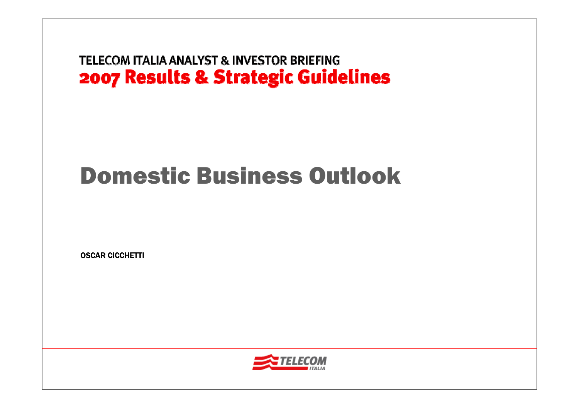# Domestic Business Outlook

OSCAR CICCHETTI

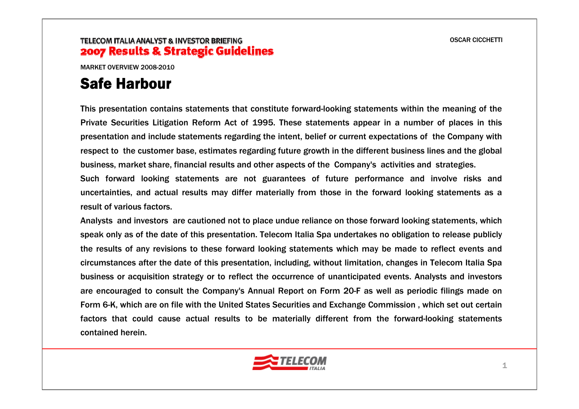MARKET OVERVIEW 2008-2010

### Safe Harbour

This presentation contains statements that constitute forward-looking statements within the meaning of the Private Securities Litigation Reform Act of 1995. These statements appear in a number of places in this presentation and include statements regarding the intent, belief or current expectations of the Company with respect to the customer base, estimates regarding future growth in the different business lines and the global business, market share, financial results and other aspects of the Company's activities and strategies.

Such forward looking statements are not guarantees of future performance and involve risks and uncertainties, and actual results may differ materially from those in the forward looking statements as a result of various factors.

Analysts and investors are cautioned not to place undue reliance on those forward looking statements, which speak only as of the date of this presentation. Telecom Italia Spa undertakes no obligation to release publicly the results of any revisions to these forward looking statements which may be made to reflect events and circumstances after the date of this presentation, including, without limitation, changes in Telecom Italia Spa business or acquisition strategy or to reflect the occurrence of unanticipated events. Analysts and investors are encouraged to consult the Company's Annual Report on Form 20-F as well as periodic filings made on Form 6-K, which are on file with the United States Securities and Exchange Commission , which set out certain factors that could cause actual results to be materially different from the forward-looking statements contained herein.

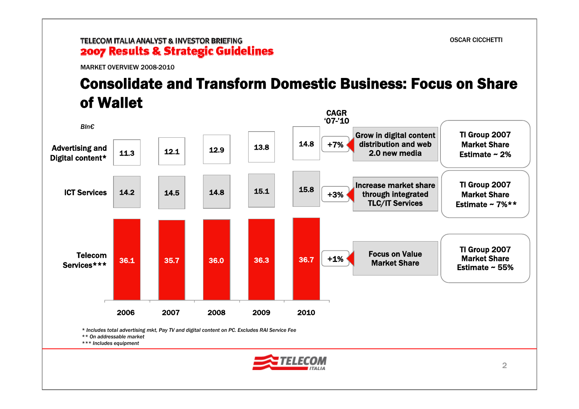MARKET OVERVIEW 2008-2010

# Consolidate and Transform Domestic Business: Focus on Share of Wallet



*\*\*\* Includes equipment*

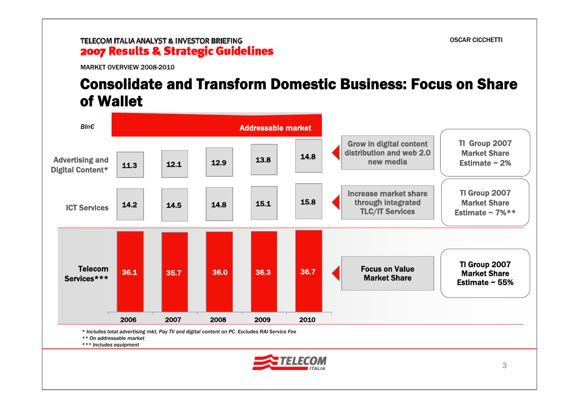MARKET OVERVIEW 2008-2010

### Consolidate and Transform Domestic Business: Focus on Share of Wallet

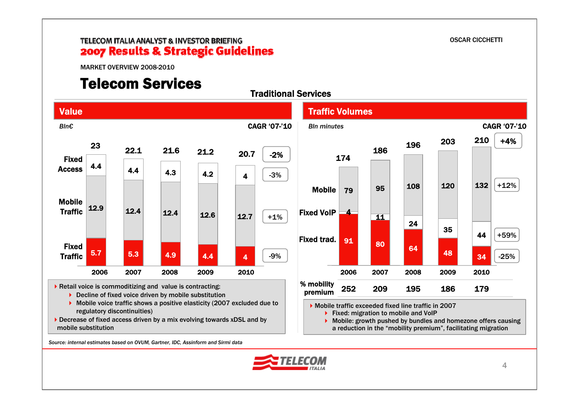MARKET OVERVIEW 2008-2010

### Telecom Services



Decrease of fixed access driven by a mix evolving towards xDSL and by mobile substitution

*Source: internal estimates based on OVUM, Gartner, IDC, Assinform and Sirmi data*



a reduction in the "mobility premium", facilitating migration

OSCAR CICCHETTI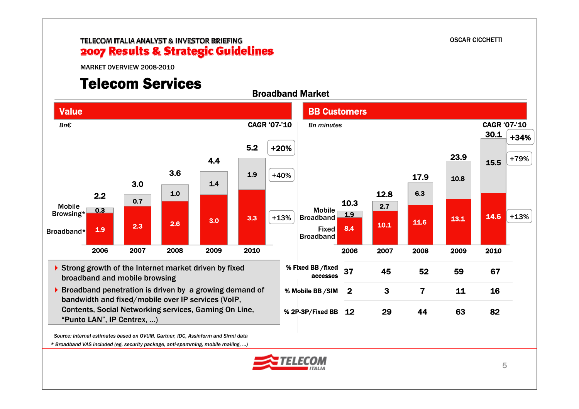OSCAR CICCHETTI

#### TELECOM ITALIA ANALYST & INVESTOR BRIEFING 2007 Results & Strategic Guidelines

MARKET OVERVIEW 2008-2010

# Telecom Services



*\* Broadband VAS included (eg. security package, anti-spamming, mobile mailing, …)* 

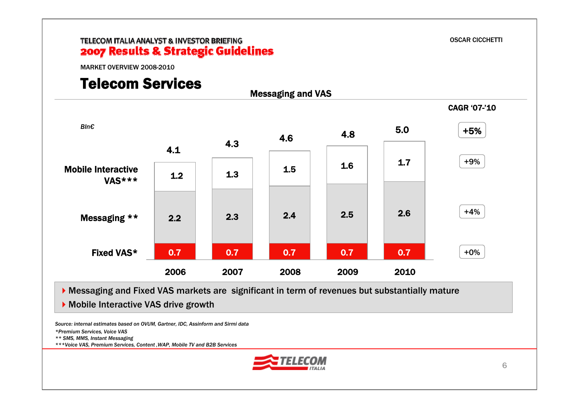OSCAR CICCHETTI

MARKET OVERVIEW 2008-2010

### Telecom Services



Messaging and Fixed VAS markets are significant in term of revenues but substantially mature

▶ Mobile Interactive VAS drive growth

*Source: internal estimates based on OVUM, Gartner, IDC, Assinform and Sirmi data*

*\*Premium Services, Voice VAS* 

*\*\* SMS, MMS, Instant Messaging*

*\*\*\*Voice VAS, Premium Services, Content ,WAP, Mobile TV and B2B Services*

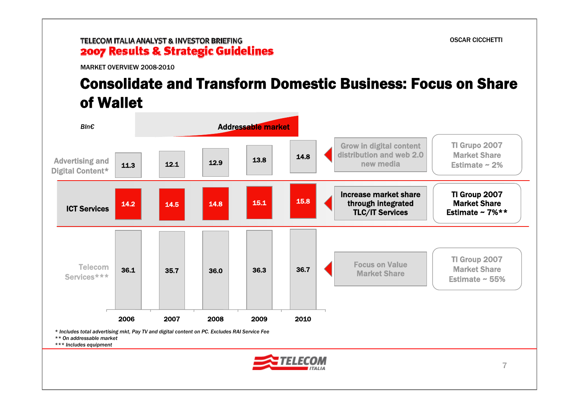MARKET OVERVIEW 2008-2010

# Consolidate and Transform Domestic Business: Focus on Share of Wallet



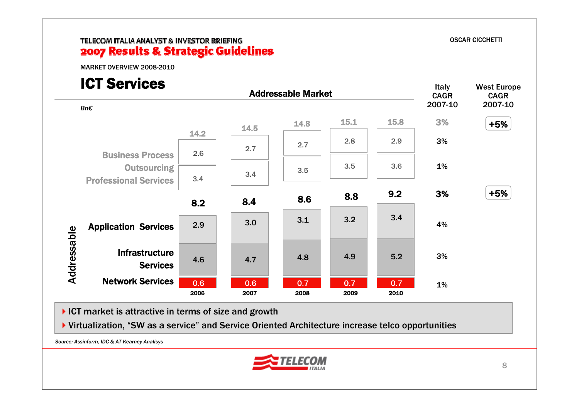MARKET OVERVIEW 2008-2010

# ICT Services



ICT market is attractive in terms of size and growth

Virtualization, "SW as a service" and Service Oriented Architecture increase telco opportunities

*Source: Assinform, IDC & AT Kearney Analisys*

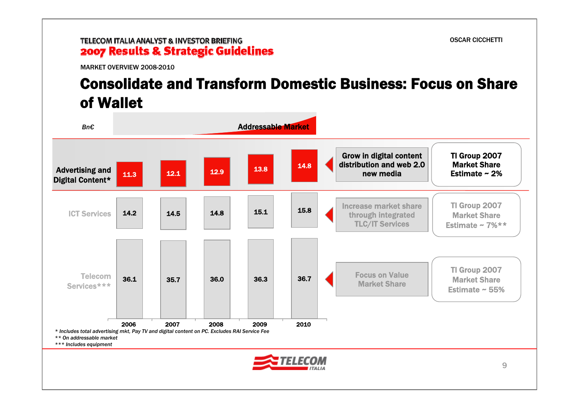MARKET OVERVIEW 2008-2010

# Consolidate and Transform Domestic Business: Focus on Share of Wallet